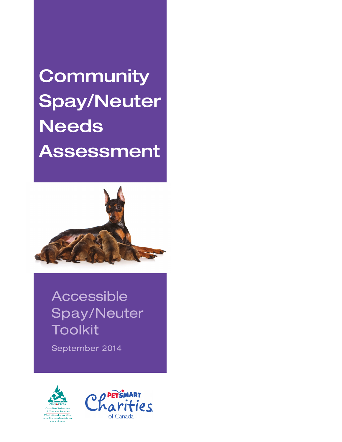**Community** Spay/Neuter **Needs** Assessment



Accessible Spay/Neuter Toolkit

September 2014



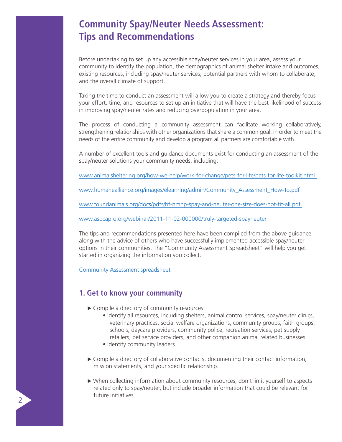# **Community Spay/Neuter Needs Assessment: Tips and Recommendations**

Before undertaking to set up any accessible spay/neuter services in your area, assess your community to identify the population, the demographics of animal shelter intake and outcomes, existing resources, including spay/neuter services, potential partners with whom to collaborate, and the overall climate of support.

Taking the time to conduct an assessment will allow you to create a strategy and thereby focus your effort, time, and resources to set up an initiative that will have the best likelihood of success in improving spay/neuter rates and reducing overpopulation in your area.

The process of conducting a community assessment can facilitate working collaboratively, strengthening relationships with other organizations that share a common goal, in order to meet the needs of the entire community and develop a program all partners are comfortable with.

A number of excellent tools and guidance documents exist for conducting an assessment of the spay/neuter solutions your community needs, including:

www.animalsheltering.org/how-we-help/work-for-change/pets-for-life/pets-for-life-toolkit.html

www.humanealliance.org/images/elearning/admin/Community\_Assessment\_How-To.pdf

www.foundanimals.org/docs/pdfs/bf-nmhp-spay-and-neuter-one-size-does-not-fit-all.pdf

www.aspcapro.org/webinar/2011-11-02-000000/truly-targeted-spayneuter

The tips and recommendations presented here have been compiled from the above guidance, along with the advice of others who have successfully implemented accessible spay/neuter options in their communities. The "Community Assessment Spreadsheet" will help you get started in organizing the information you collect.

[Community Assessment spreadsheet](http://cfhs.ca/athome/accessible_spay_and_neuter/)

#### **1. Get to know your community**

▶ Compile a directory of community resources.

- Identify all resources, including shelters, animal control services, spay/neuter clinics, veterinary practices, social welfare organizations, community groups, faith groups, schools, daycare providers, community police, recreation services, pet supply retailers, pet service providers, and other companion animal related businesses.
- Identify community leaders.
- Compile a directory of collaborative contacts, documenting their contact information, mission statements, and your specific relationship.
- When collecting information about community resources, don't limit yourself to aspects related only to spay/neuter, but include broader information that could be relevant for future initiatives.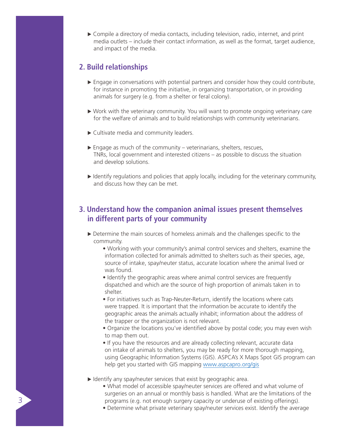Compile a directory of media contacts, including television, radio, internet, and print media outlets – include their contact information, as well as the format, target audience, and impact of the media.

#### **2. Build relationships**

- $\blacktriangleright$  Engage in conversations with potential partners and consider how they could contribute, for instance in promoting the initiative, in organizing transportation, or in providing animals for surgery (e.g. from a shelter or feral colony).
- Work with the veterinary community. You will want to promote ongoing veterinary care for the welfare of animals and to build relationships with community veterinarians.
- ▶ Cultivate media and community leaders.
- $\triangleright$  Engage as much of the community veterinarians, shelters, rescues, TNRs, local government and interested citizens – as possible to discuss the situation and develop solutions.
- $\blacktriangleright$  Identify regulations and policies that apply locally, including for the veterinary community, and discuss how they can be met.

## **3. Understand how the companion animal issues present themselves in different parts of your community**

- Determine the main sources of homeless animals and the challenges specific to the community.
	- Working with your community's animal control services and shelters, examine the information collected for animals admitted to shelters such as their species, age, source of intake, spay/neuter status, accurate location where the animal lived or was found.
	- Identify the geographic areas where animal control services are frequently dispatched and which are the source of high proportion of animals taken in to shelter.
	- For initiatives such as Trap-Neuter-Return, identify the locations where cats were trapped. It is important that the information be accurate to identify the geographic areas the animals actually inhabit; information about the address of the trapper or the organization is not relevant.
	- Organize the locations you've identified above by postal code; you may even wish to map them out.
	- If you have the resources and are already collecting relevant, accurate data on intake of animals to shelters, you may be ready for more thorough mapping, using Geographic Information Systems (GIS). ASPCA's X Maps Spot GIS program can help get you started with GIS mapping www.aspcapro.org/gis

 $\blacktriangleright$  Identify any spay/neuter services that exist by geographic area.

- What model of accessible spay/neuter services are offered and what volume of surgeries on an annual or monthly basis is handled. What are the limitations of the programs (e.g. not enough surgery capacity or underuse of existing offerings).
- Determine what private veterinary spay/neuter services exist. Identify the average